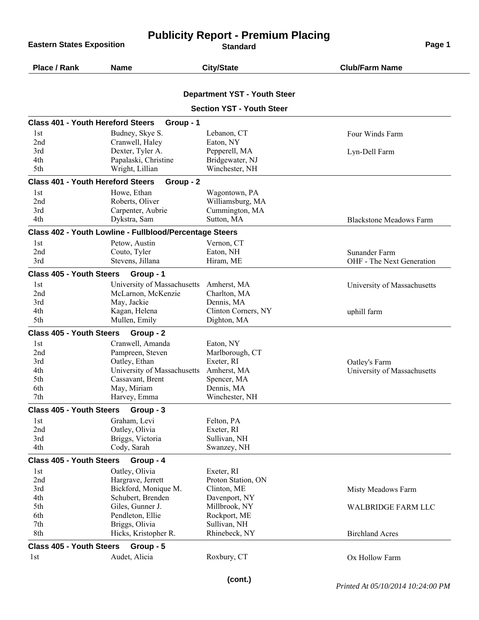**Publicity Report - Premium Placing Eastern States Exposition Contract Contract Contract Contract Contract Contract Contract Contract Contract Contract Contract Contract Contract Contract Contract Contract Contract Contract Contract Contract Contract Cont Place / Rank Name City/State Club/Farm Name Department YST - Youth Steer Section YST - Youth Steer Class 401 - Youth Hereford Steers Group - 1** 1st Budney, Skye S. Lebanon, CT Four Winds Farm 2nd Cranwell, Haley Eaton, NY 3rd Dexter, Tyler A. Pepperell, MA Lyn-Dell Farm Papalaski, Christine Bridgewater, NJ 5th Wright, Lillian Winchester, NH **Class 401 - Youth Hereford Steers Group - 2** 1st Howe, Ethan Wagontown, PA 2nd Roberts, Oliver Williamsburg, MA 3rd Carpenter, Aubrie Cummington, MA 4th Dykstra, Sam Sutton, MA Blackstone Meadows Farm **Class 402 - Youth Lowline - Fullblood/Percentage Steers** 1st Petow, Austin Vernon, CT 2nd Couto, Tyler Eaton, NH Sunander Farm 3rd Stevens, Jillana Hiram, ME OHF - The Next Generation **Class 405 - Youth Steers Group - 1** 1st University of Massachusetts Amherst, MA<br>
2nd McLarnon, McKenzie Charlton, MA<br>
2nd McLarnon, McKenzie Charlton, MA McLarnon, McKenzie 3rd May, Jackie Dennis, MA<br>4th Kagan Helena Clinton Corr 4th Clinton Corners, NY uphill farm<br>
5th Mullen, Emily Dighton, MA Mullen, Emily Dighton, MA **Class 405 - Youth Steers Group - 2** 1st Cranwell, Amanda Eaton, NY 2nd Pampreen, Steven Marlborough, CT 3rd Oatley, Ethan Exeter, RI Oatley's Farm 4th University of Massachusetts Amherst, MA<br>
1991 University of Massachusetts Cassavant, Brent Spencer, MA Cassavant, Brent Spencer, MA 6th May, Miriam Dennis, MA 7th Harvey, Emma Winchester, NH **Class 405 - Youth Steers Group - 3** 1st Graham, Levi Felton, PA 2nd Oatley, Olivia Exeter, RI 3rd Briggs, Victoria Sullivan, NH<br>
21 Ath Cody Sarah Swanzev NH 4th Cody, Sarah Swanzey, NH **Class 405 - Youth Steers Group - 4** 1st Oatley, Olivia Exeter, RI 2nd Hargrave, Jerrett Proton Station, ON 3rd Bickford, Monique M. Clinton, ME Misty Meadows Farm 4th Schubert, Brenden Davenport, NY 5th Giles, Gunner J. Millbrook, NY WALBRIDGE FARM LLC<br>6th Pendleton, Ellie Rockport, ME Pendleton, Ellie 7th Briggs, Olivia Sullivan, NH 8th Hicks, Kristopher R. Rhinebeck, NY Birchland Acres

**Class 405 - Youth Steers Group - 5**

1st 1st Audet, Alicia Roxbury, CT 0x Hollow Farm